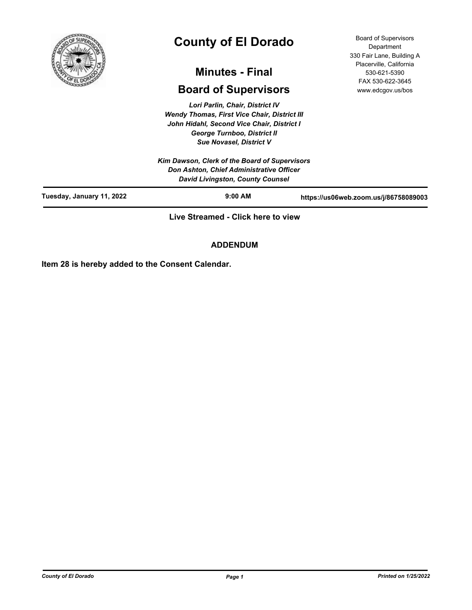

# **County of El Dorado**

# **Minutes - Final**

## **Board of Supervisors**

*Lori Parlin, Chair, District IV Wendy Thomas, First Vice Chair, District III John Hidahl, Second Vice Chair, District I George Turnboo, District II Sue Novasel, District V*

*Kim Dawson, Clerk of the Board of Supervisors Don Ashton, Chief Administrative Officer* 

Board of Supervisors **Department** 330 Fair Lane, Building A Placerville, California 530-621-5390 FAX 530-622-3645 www.edcgov.us/bos

|                           | David Livingston, County Counsel   |                                       |
|---------------------------|------------------------------------|---------------------------------------|
| Tuesday, January 11, 2022 | $9:00$ AM                          | https://us06web.zoom.us/j/86758089003 |
|                           | Live Streamed - Click here to view |                                       |

### **ADDENDUM**

**Item 28 is hereby added to the Consent Calendar.**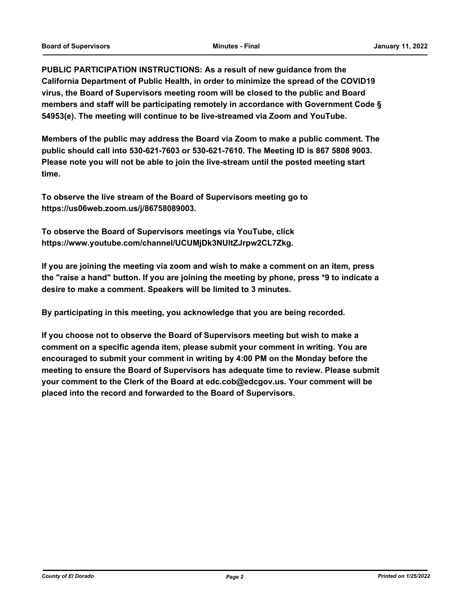**PUBLIC PARTICIPATION INSTRUCTIONS: As a result of new guidance from the California Department of Public Health, in order to minimize the spread of the COVID19 virus, the Board of Supervisors meeting room will be closed to the public and Board members and staff will be participating remotely in accordance with Government Code § 54953(e). The meeting will continue to be live-streamed via Zoom and YouTube.**

**Members of the public may address the Board via Zoom to make a public comment. The public should call into 530-621-7603 or 530-621-7610. The Meeting ID is 867 5808 9003. Please note you will not be able to join the live-stream until the posted meeting start time.**

**To observe the live stream of the Board of Supervisors meeting go to https://us06web.zoom.us/j/86758089003.**

**To observe the Board of Supervisors meetings via YouTube, click https://www.youtube.com/channel/UCUMjDk3NUltZJrpw2CL7Zkg.**

**If you are joining the meeting via zoom and wish to make a comment on an item, press the "raise a hand" button. If you are joining the meeting by phone, press \*9 to indicate a desire to make a comment. Speakers will be limited to 3 minutes.**

**By participating in this meeting, you acknowledge that you are being recorded.**

**If you choose not to observe the Board of Supervisors meeting but wish to make a comment on a specific agenda item, please submit your comment in writing. You are encouraged to submit your comment in writing by 4:00 PM on the Monday before the meeting to ensure the Board of Supervisors has adequate time to review. Please submit your comment to the Clerk of the Board at edc.cob@edcgov.us. Your comment will be placed into the record and forwarded to the Board of Supervisors.**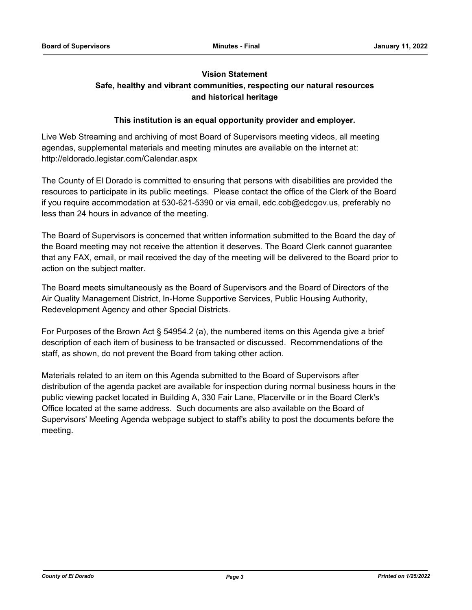### **Vision Statement Safe, healthy and vibrant communities, respecting our natural resources and historical heritage**

### **This institution is an equal opportunity provider and employer.**

Live Web Streaming and archiving of most Board of Supervisors meeting videos, all meeting agendas, supplemental materials and meeting minutes are available on the internet at: http://eldorado.legistar.com/Calendar.aspx

The County of El Dorado is committed to ensuring that persons with disabilities are provided the resources to participate in its public meetings. Please contact the office of the Clerk of the Board if you require accommodation at 530-621-5390 or via email, edc.cob@edcgov.us, preferably no less than 24 hours in advance of the meeting.

The Board of Supervisors is concerned that written information submitted to the Board the day of the Board meeting may not receive the attention it deserves. The Board Clerk cannot guarantee that any FAX, email, or mail received the day of the meeting will be delivered to the Board prior to action on the subject matter.

The Board meets simultaneously as the Board of Supervisors and the Board of Directors of the Air Quality Management District, In-Home Supportive Services, Public Housing Authority, Redevelopment Agency and other Special Districts.

For Purposes of the Brown Act § 54954.2 (a), the numbered items on this Agenda give a brief description of each item of business to be transacted or discussed. Recommendations of the staff, as shown, do not prevent the Board from taking other action.

Materials related to an item on this Agenda submitted to the Board of Supervisors after distribution of the agenda packet are available for inspection during normal business hours in the public viewing packet located in Building A, 330 Fair Lane, Placerville or in the Board Clerk's Office located at the same address. Such documents are also available on the Board of Supervisors' Meeting Agenda webpage subject to staff's ability to post the documents before the meeting.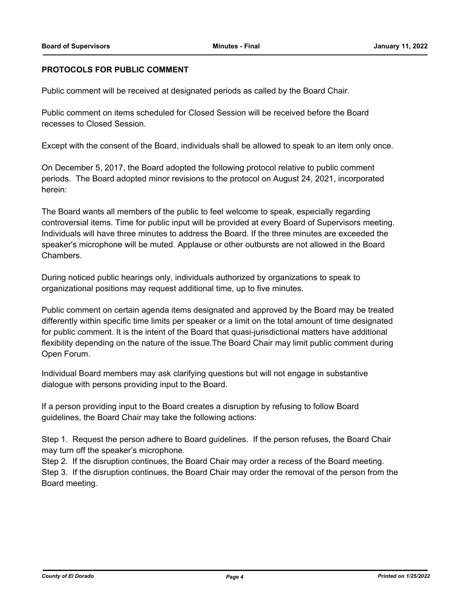### **PROTOCOLS FOR PUBLIC COMMENT**

Public comment will be received at designated periods as called by the Board Chair.

Public comment on items scheduled for Closed Session will be received before the Board recesses to Closed Session.

Except with the consent of the Board, individuals shall be allowed to speak to an item only once.

On December 5, 2017, the Board adopted the following protocol relative to public comment periods. The Board adopted minor revisions to the protocol on August 24, 2021, incorporated herein:

The Board wants all members of the public to feel welcome to speak, especially regarding controversial items. Time for public input will be provided at every Board of Supervisors meeting. Individuals will have three minutes to address the Board. If the three minutes are exceeded the speaker's microphone will be muted. Applause or other outbursts are not allowed in the Board Chambers.

During noticed public hearings only, individuals authorized by organizations to speak to organizational positions may request additional time, up to five minutes.

Public comment on certain agenda items designated and approved by the Board may be treated differently within specific time limits per speaker or a limit on the total amount of time designated for public comment. It is the intent of the Board that quasi-jurisdictional matters have additional flexibility depending on the nature of the issue.The Board Chair may limit public comment during Open Forum.

Individual Board members may ask clarifying questions but will not engage in substantive dialogue with persons providing input to the Board.

If a person providing input to the Board creates a disruption by refusing to follow Board guidelines, the Board Chair may take the following actions:

Step 1. Request the person adhere to Board guidelines. If the person refuses, the Board Chair may turn off the speaker's microphone.

Step 2. If the disruption continues, the Board Chair may order a recess of the Board meeting. Step 3. If the disruption continues, the Board Chair may order the removal of the person from the Board meeting.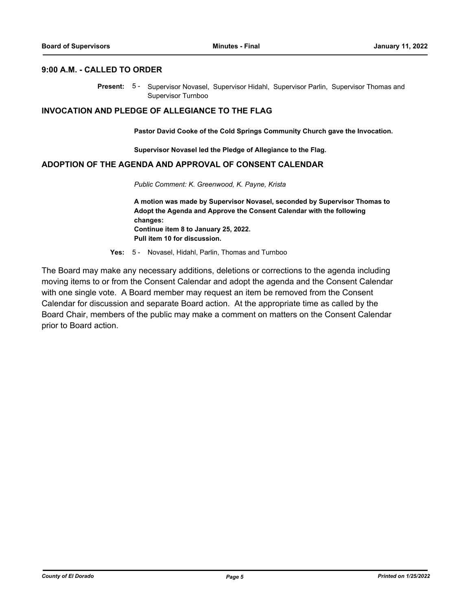### **9:00 A.M. - CALLED TO ORDER**

Present: 5- Supervisor Novasel, Supervisor Hidahl, Supervisor Parlin, Supervisor Thomas and Supervisor Turnboo

### **INVOCATION AND PLEDGE OF ALLEGIANCE TO THE FLAG**

**Pastor David Cooke of the Cold Springs Community Church gave the Invocation.**

**Supervisor Novasel led the Pledge of Allegiance to the Flag.**

### **ADOPTION OF THE AGENDA AND APPROVAL OF CONSENT CALENDAR**

*Public Comment: K. Greenwood, K. Payne, Krista*

**A motion was made by Supervisor Novasel, seconded by Supervisor Thomas to Adopt the Agenda and Approve the Consent Calendar with the following changes: Continue item 8 to January 25, 2022. Pull item 10 for discussion.**

**Yes:** 5 - Novasel, Hidahl, Parlin, Thomas and Turnboo

The Board may make any necessary additions, deletions or corrections to the agenda including moving items to or from the Consent Calendar and adopt the agenda and the Consent Calendar with one single vote. A Board member may request an item be removed from the Consent Calendar for discussion and separate Board action. At the appropriate time as called by the Board Chair, members of the public may make a comment on matters on the Consent Calendar prior to Board action.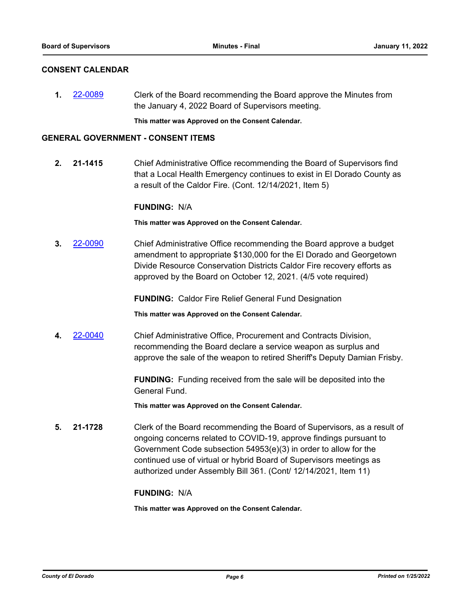### **CONSENT CALENDAR**

**1.** [22-0089](http://eldorado.legistar.com/gateway.aspx?m=l&id=/matter.aspx?key=30989) Clerk of the Board recommending the Board approve the Minutes from the January 4, 2022 Board of Supervisors meeting.

**This matter was Approved on the Consent Calendar.**

### **GENERAL GOVERNMENT - CONSENT ITEMS**

**2. 21-1415** Chief Administrative Office recommending the Board of Supervisors find that a Local Health Emergency continues to exist in El Dorado County as a result of the Caldor Fire. (Cont. 12/14/2021, Item 5)

### **FUNDING:** N/A

**This matter was Approved on the Consent Calendar.**

**3.** [22-0090](http://eldorado.legistar.com/gateway.aspx?m=l&id=/matter.aspx?key=30990) Chief Administrative Office recommending the Board approve a budget amendment to appropriate \$130,000 for the El Dorado and Georgetown Divide Resource Conservation Districts Caldor Fire recovery efforts as approved by the Board on October 12, 2021. (4/5 vote required)

**FUNDING:** Caldor Fire Relief General Fund Designation

**This matter was Approved on the Consent Calendar.**

**4.** [22-0040](http://eldorado.legistar.com/gateway.aspx?m=l&id=/matter.aspx?key=30940) Chief Administrative Office, Procurement and Contracts Division, recommending the Board declare a service weapon as surplus and approve the sale of the weapon to retired Sheriff's Deputy Damian Frisby.

> **FUNDING:** Funding received from the sale will be deposited into the General Fund.

**This matter was Approved on the Consent Calendar.**

**5. 21-1728** Clerk of the Board recommending the Board of Supervisors, as a result of ongoing concerns related to COVID-19, approve findings pursuant to Government Code subsection 54953(e)(3) in order to allow for the continued use of virtual or hybrid Board of Supervisors meetings as authorized under Assembly Bill 361. (Cont/ 12/14/2021, Item 11)

### **FUNDING:** N/A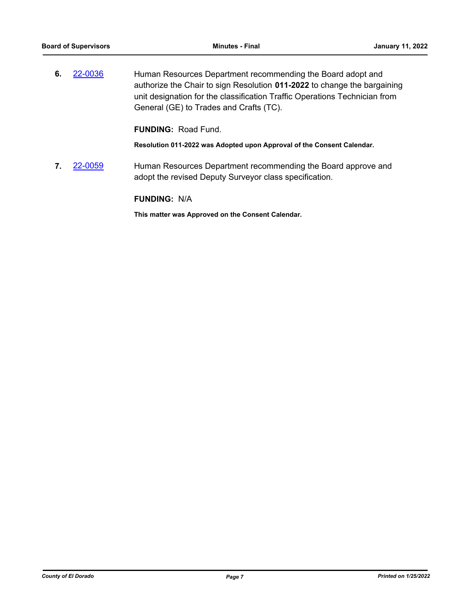**6.** [22-0036](http://eldorado.legistar.com/gateway.aspx?m=l&id=/matter.aspx?key=30936) Human Resources Department recommending the Board adopt and authorize the Chair to sign Resolution **011-2022** to change the bargaining unit designation for the classification Traffic Operations Technician from General (GE) to Trades and Crafts (TC).

**FUNDING:** Road Fund.

**Resolution 011-2022 was Adopted upon Approval of the Consent Calendar.**

**7.** [22-0059](http://eldorado.legistar.com/gateway.aspx?m=l&id=/matter.aspx?key=30959) Human Resources Department recommending the Board approve and adopt the revised Deputy Surveyor class specification.

**FUNDING:** N/A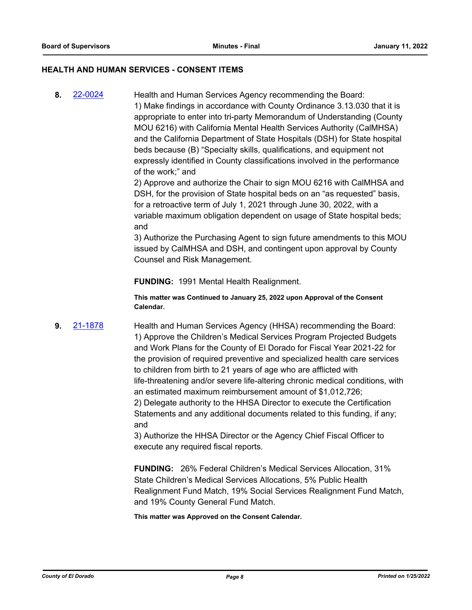### **HEALTH AND HUMAN SERVICES - CONSENT ITEMS**

**8.** [22-0024](http://eldorado.legistar.com/gateway.aspx?m=l&id=/matter.aspx?key=30924) Health and Human Services Agency recommending the Board: 1) Make findings in accordance with County Ordinance 3.13.030 that it is appropriate to enter into tri-party Memorandum of Understanding (County MOU 6216) with California Mental Health Services Authority (CalMHSA) and the California Department of State Hospitals (DSH) for State hospital beds because (B) "Specialty skills, qualifications, and equipment not expressly identified in County classifications involved in the performance of the work;" and

> 2) Approve and authorize the Chair to sign MOU 6216 with CalMHSA and DSH, for the provision of State hospital beds on an "as requested" basis, for a retroactive term of July 1, 2021 through June 30, 2022, with a variable maximum obligation dependent on usage of State hospital beds; and

3) Authorize the Purchasing Agent to sign future amendments to this MOU issued by CalMHSA and DSH, and contingent upon approval by County Counsel and Risk Management.

**FUNDING:** 1991 Mental Health Realignment.

**This matter was Continued to January 25, 2022 upon Approval of the Consent Calendar.**

**9.** [21-1878](http://eldorado.legistar.com/gateway.aspx?m=l&id=/matter.aspx?key=30774) Health and Human Services Agency (HHSA) recommending the Board: 1) Approve the Children's Medical Services Program Projected Budgets and Work Plans for the County of El Dorado for Fiscal Year 2021-22 for the provision of required preventive and specialized health care services to children from birth to 21 years of age who are afflicted with life-threatening and/or severe life-altering chronic medical conditions, with an estimated maximum reimbursement amount of \$1,012,726; 2) Delegate authority to the HHSA Director to execute the Certification Statements and any additional documents related to this funding, if any; and

3) Authorize the HHSA Director or the Agency Chief Fiscal Officer to execute any required fiscal reports.

**FUNDING:** 26% Federal Children's Medical Services Allocation, 31% State Children's Medical Services Allocations, 5% Public Health Realignment Fund Match, 19% Social Services Realignment Fund Match, and 19% County General Fund Match.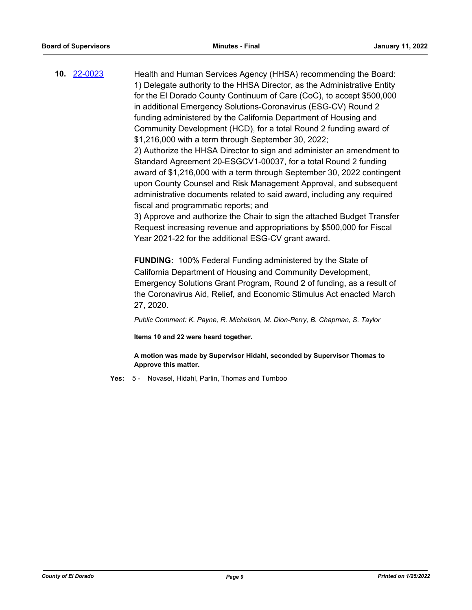**10.** [22-0023](http://eldorado.legistar.com/gateway.aspx?m=l&id=/matter.aspx?key=30923) Health and Human Services Agency (HHSA) recommending the Board: 1) Delegate authority to the HHSA Director, as the Administrative Entity for the El Dorado County Continuum of Care (CoC), to accept \$500,000 in additional Emergency Solutions-Coronavirus (ESG-CV) Round 2 funding administered by the California Department of Housing and Community Development (HCD), for a total Round 2 funding award of \$1,216,000 with a term through September 30, 2022; 2) Authorize the HHSA Director to sign and administer an amendment to Standard Agreement 20-ESGCV1-00037, for a total Round 2 funding award of \$1,216,000 with a term through September 30, 2022 contingent upon County Counsel and Risk Management Approval, and subsequent administrative documents related to said award, including any required fiscal and programmatic reports; and 3) Approve and authorize the Chair to sign the attached Budget Transfer Request increasing revenue and appropriations by \$500,000 for Fiscal

Year 2021-22 for the additional ESG-CV grant award.

**FUNDING:** 100% Federal Funding administered by the State of California Department of Housing and Community Development, Emergency Solutions Grant Program, Round 2 of funding, as a result of the Coronavirus Aid, Relief, and Economic Stimulus Act enacted March 27, 2020.

*Public Comment: K. Payne, R. Michelson, M. Dion-Perry, B. Chapman, S. Taylor*

**Items 10 and 22 were heard together.**

**A motion was made by Supervisor Hidahl, seconded by Supervisor Thomas to Approve this matter.**

**Yes:** 5 - Novasel, Hidahl, Parlin, Thomas and Turnboo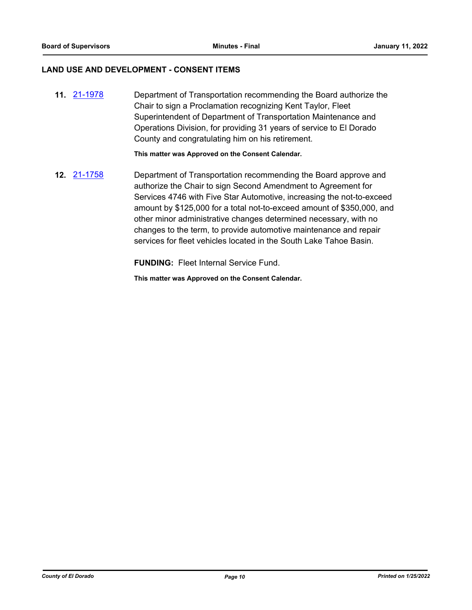### **LAND USE AND DEVELOPMENT - CONSENT ITEMS**

**11.** [21-1978](http://eldorado.legistar.com/gateway.aspx?m=l&id=/matter.aspx?key=30874) Department of Transportation recommending the Board authorize the Chair to sign a Proclamation recognizing Kent Taylor, Fleet Superintendent of Department of Transportation Maintenance and Operations Division, for providing 31 years of service to El Dorado County and congratulating him on his retirement.

**This matter was Approved on the Consent Calendar.**

**12.** [21-1758](http://eldorado.legistar.com/gateway.aspx?m=l&id=/matter.aspx?key=30654) Department of Transportation recommending the Board approve and authorize the Chair to sign Second Amendment to Agreement for Services 4746 with Five Star Automotive, increasing the not-to-exceed amount by \$125,000 for a total not-to-exceed amount of \$350,000, and other minor administrative changes determined necessary, with no changes to the term, to provide automotive maintenance and repair services for fleet vehicles located in the South Lake Tahoe Basin.

**FUNDING:** Fleet Internal Service Fund.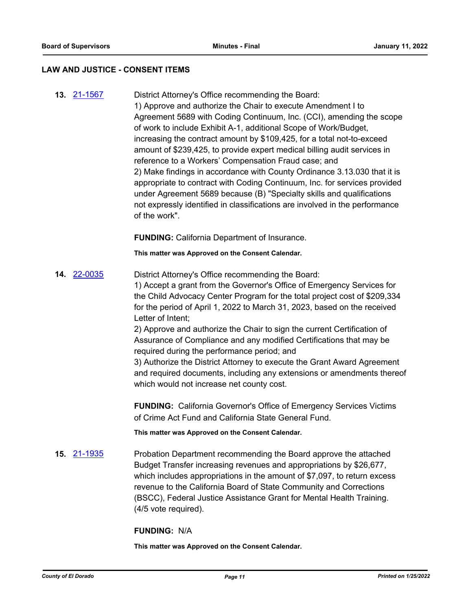#### **LAW AND JUSTICE - CONSENT ITEMS**

**13.** [21-1567](http://eldorado.legistar.com/gateway.aspx?m=l&id=/matter.aspx?key=30462) District Attorney's Office recommending the Board: 1) Approve and authorize the Chair to execute Amendment I to Agreement 5689 with Coding Continuum, Inc. (CCI), amending the scope of work to include Exhibit A-1, additional Scope of Work/Budget, increasing the contract amount by \$109,425, for a total not-to-exceed amount of \$239,425, to provide expert medical billing audit services in reference to a Workers' Compensation Fraud case; and 2) Make findings in accordance with County Ordinance 3.13.030 that it is appropriate to contract with Coding Continuum, Inc. for services provided under Agreement 5689 because (B) "Specialty skills and qualifications not expressly identified in classifications are involved in the performance of the work".

**FUNDING:** California Department of Insurance.

**This matter was Approved on the Consent Calendar.**

**14.** [22-0035](http://eldorado.legistar.com/gateway.aspx?m=l&id=/matter.aspx?key=30935) District Attorney's Office recommending the Board: 1) Accept a grant from the Governor's Office of Emergency Services for the Child Advocacy Center Program for the total project cost of \$209,334 for the period of April 1, 2022 to March 31, 2023, based on the received Letter of Intent;

> 2) Approve and authorize the Chair to sign the current Certification of Assurance of Compliance and any modified Certifications that may be required during the performance period; and

3) Authorize the District Attorney to execute the Grant Award Agreement and required documents, including any extensions or amendments thereof which would not increase net county cost.

**FUNDING:** California Governor's Office of Emergency Services Victims of Crime Act Fund and California State General Fund.

**This matter was Approved on the Consent Calendar.**

**15.** [21-1935](http://eldorado.legistar.com/gateway.aspx?m=l&id=/matter.aspx?key=30831) Probation Department recommending the Board approve the attached Budget Transfer increasing revenues and appropriations by \$26,677, which includes appropriations in the amount of \$7,097, to return excess revenue to the California Board of State Community and Corrections (BSCC), Federal Justice Assistance Grant for Mental Health Training. (4/5 vote required).

### **FUNDING:** N/A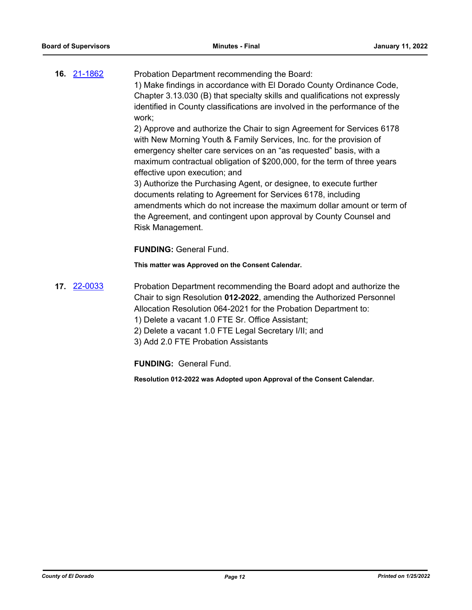| <b>16. 21-1862</b> | Probation Department recommending the Board:                                  |
|--------------------|-------------------------------------------------------------------------------|
|                    | 1) Make findings in accordance with El Dorado County Ordinance Code,          |
|                    | Chapter 3.13.030 (B) that specialty skills and qualifications not expressly   |
|                    | identified in County classifications are involved in the performance of the   |
|                    | work:                                                                         |
|                    | $\mathcal{O}(1)$ . The set of $\mathcal{O}(1)$ is the set of $\mathcal{O}(1)$ |

2) Approve and authorize the Chair to sign Agreement for Services 6178 with New Morning Youth & Family Services, Inc. for the provision of emergency shelter care services on an "as requested" basis, with a maximum contractual obligation of \$200,000, for the term of three years effective upon execution; and

3) Authorize the Purchasing Agent, or designee, to execute further documents relating to Agreement for Services 6178, including amendments which do not increase the maximum dollar amount or term of the Agreement, and contingent upon approval by County Counsel and Risk Management.

**FUNDING:** General Fund.

**This matter was Approved on the Consent Calendar.**

- **17.** [22-0033](http://eldorado.legistar.com/gateway.aspx?m=l&id=/matter.aspx?key=30933) Probation Department recommending the Board adopt and authorize the Chair to sign Resolution **012-2022**, amending the Authorized Personnel Allocation Resolution 064-2021 for the Probation Department to:
	- 1) Delete a vacant 1.0 FTE Sr. Office Assistant;
	- 2) Delete a vacant 1.0 FTE Legal Secretary I/II; and
	- 3) Add 2.0 FTE Probation Assistants

**FUNDING:** General Fund.

**Resolution 012-2022 was Adopted upon Approval of the Consent Calendar.**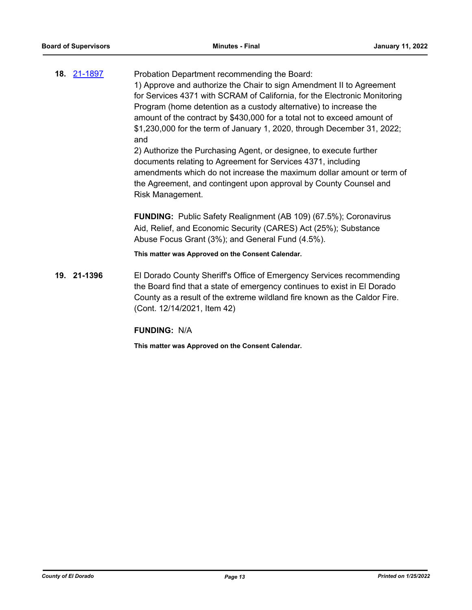|  | 18. 21-1897 | Probation Department recommending the Board:                                                                                                                   |
|--|-------------|----------------------------------------------------------------------------------------------------------------------------------------------------------------|
|  |             | 1) Approve and authorize the Chair to sign Amendment II to Agreement                                                                                           |
|  |             | for Services 4371 with SCRAM of California, for the Electronic Monitoring                                                                                      |
|  |             | Program (home detention as a custody alternative) to increase the                                                                                              |
|  |             | amount of the contract by \$430,000 for a total not to exceed amount of                                                                                        |
|  |             | \$1,230,000 for the term of January 1, 2020, through December 31, 2022;<br>and                                                                                 |
|  |             | 2) Authorize the Purchasing Agent, or designee, to execute further                                                                                             |
|  |             | documents relating to Agreement for Services 4371, including                                                                                                   |
|  |             | amendments which do not increase the maximum dollar amount or term of<br>the Agreement, and contingent upon approval by County Counsel and<br>Risk Management. |
|  |             | <b>FUNDING:</b> Public Safety Realignment (AB 109) (67.5%); Coronavirus                                                                                        |
|  |             | Aid, Relief, and Economic Security (CARES) Act (25%); Substance                                                                                                |
|  |             | Abuse Focus Grant (3%); and General Fund (4.5%).                                                                                                               |
|  |             | This matter was Approved on the Consent Calendar.                                                                                                              |
|  |             |                                                                                                                                                                |

**19. 21-1396** El Dorado County Sheriff's Office of Emergency Services recommending the Board find that a state of emergency continues to exist in El Dorado County as a result of the extreme wildland fire known as the Caldor Fire. (Cont. 12/14/2021, Item 42)

**FUNDING:** N/A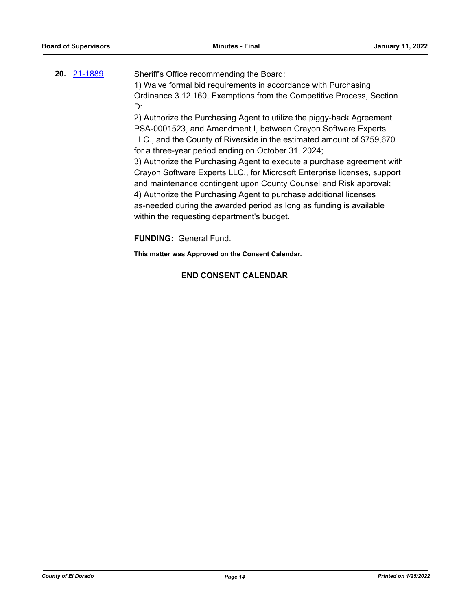| 20. 21-1889 | Sheriff's Office recommending the Board:<br>1) Waive formal bid requirements in accordance with Purchasing<br>Ordinance 3.12.160, Exemptions from the Competitive Process, Section<br>D:                                                                                                                                                                                                                                                                                                                                                                                                                                                                                                     |
|-------------|----------------------------------------------------------------------------------------------------------------------------------------------------------------------------------------------------------------------------------------------------------------------------------------------------------------------------------------------------------------------------------------------------------------------------------------------------------------------------------------------------------------------------------------------------------------------------------------------------------------------------------------------------------------------------------------------|
|             | 2) Authorize the Purchasing Agent to utilize the piggy-back Agreement<br>PSA-0001523, and Amendment I, between Crayon Software Experts<br>LLC., and the County of Riverside in the estimated amount of \$759,670<br>for a three-year period ending on October 31, 2024;<br>3) Authorize the Purchasing Agent to execute a purchase agreement with<br>Crayon Software Experts LLC., for Microsoft Enterprise licenses, support<br>and maintenance contingent upon County Counsel and Risk approval;<br>4) Authorize the Purchasing Agent to purchase additional licenses<br>as-needed during the awarded period as long as funding is available<br>within the requesting department's budget. |

**FUNDING:** General Fund.

**This matter was Approved on the Consent Calendar.**

### **END CONSENT CALENDAR**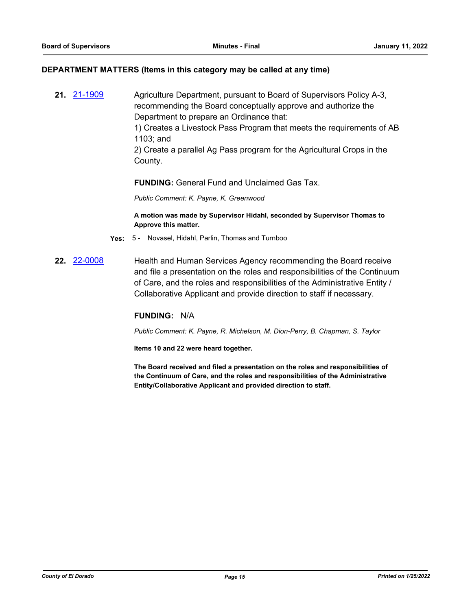### **DEPARTMENT MATTERS (Items in this category may be called at any time)**

**21.** [21-1909](http://eldorado.legistar.com/gateway.aspx?m=l&id=/matter.aspx?key=30805) Agriculture Department, pursuant to Board of Supervisors Policy A-3, recommending the Board conceptually approve and authorize the Department to prepare an Ordinance that:

1) Creates a Livestock Pass Program that meets the requirements of AB 1103; and

2) Create a parallel Ag Pass program for the Agricultural Crops in the County.

**FUNDING:** General Fund and Unclaimed Gas Tax.

*Public Comment: K. Payne, K. Greenwood*

**A motion was made by Supervisor Hidahl, seconded by Supervisor Thomas to Approve this matter.**

- **Yes:** 5 Novasel, Hidahl, Parlin, Thomas and Turnboo
- **22.** [22-0008](http://eldorado.legistar.com/gateway.aspx?m=l&id=/matter.aspx?key=30908) Health and Human Services Agency recommending the Board receive and file a presentation on the roles and responsibilities of the Continuum of Care, and the roles and responsibilities of the Administrative Entity / Collaborative Applicant and provide direction to staff if necessary.

### **FUNDING:** N/A

*Public Comment: K. Payne, R. Michelson, M. Dion-Perry, B. Chapman, S. Taylor*

**Items 10 and 22 were heard together.**

**The Board received and filed a presentation on the roles and responsibilities of the Continuum of Care, and the roles and responsibilities of the Administrative Entity/Collaborative Applicant and provided direction to staff.**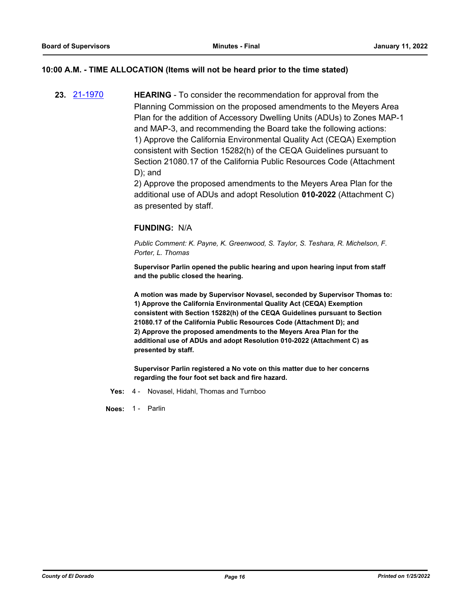### **10:00 A.M. - TIME ALLOCATION (Items will not be heard prior to the time stated)**

**23.** [21-1970](http://eldorado.legistar.com/gateway.aspx?m=l&id=/matter.aspx?key=30866) **HEARING** - To consider the recommendation for approval from the Planning Commission on the proposed amendments to the Meyers Area Plan for the addition of Accessory Dwelling Units (ADUs) to Zones MAP-1 and MAP-3, and recommending the Board take the following actions: 1) Approve the California Environmental Quality Act (CEQA) Exemption consistent with Section 15282(h) of the CEQA Guidelines pursuant to Section 21080.17 of the California Public Resources Code (Attachment D); and

> 2) Approve the proposed amendments to the Meyers Area Plan for the additional use of ADUs and adopt Resolution **010-2022** (Attachment C) as presented by staff.

### **FUNDING:** N/A

*Public Comment: K. Payne, K. Greenwood, S. Taylor, S. Teshara, R. Michelson, F. Porter, L. Thomas*

**Supervisor Parlin opened the public hearing and upon hearing input from staff and the public closed the hearing.**

**A motion was made by Supervisor Novasel, seconded by Supervisor Thomas to: 1) Approve the California Environmental Quality Act (CEQA) Exemption consistent with Section 15282(h) of the CEQA Guidelines pursuant to Section 21080.17 of the California Public Resources Code (Attachment D); and 2) Approve the proposed amendments to the Meyers Area Plan for the additional use of ADUs and adopt Resolution 010-2022 (Attachment C) as presented by staff.**

**Supervisor Parlin registered a No vote on this matter due to her concerns regarding the four foot set back and fire hazard.**

**Yes:** 4 - Novasel, Hidahl, Thomas and Turnboo

**Noes:** 1 - Parlin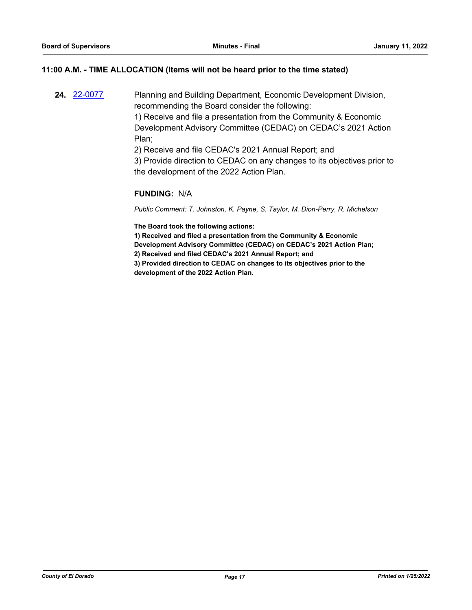### **11:00 A.M. - TIME ALLOCATION (Items will not be heard prior to the time stated)**

**24.** [22-0077](http://eldorado.legistar.com/gateway.aspx?m=l&id=/matter.aspx?key=30977) Planning and Building Department, Economic Development Division, recommending the Board consider the following:

> 1) Receive and file a presentation from the Community & Economic Development Advisory Committee (CEDAC) on CEDAC's 2021 Action Plan;

2) Receive and file CEDAC's 2021 Annual Report; and

3) Provide direction to CEDAC on any changes to its objectives prior to the development of the 2022 Action Plan.

### **FUNDING:** N/A

*Public Comment: T. Johnston, K. Payne, S. Taylor, M. Dion-Perry, R. Michelson*

**The Board took the following actions:**

**1) Received and filed a presentation from the Community & Economic Development Advisory Committee (CEDAC) on CEDAC's 2021 Action Plan; 2) Received and filed CEDAC's 2021 Annual Report; and**

**3) Provided direction to CEDAC on changes to its objectives prior to the development of the 2022 Action Plan.**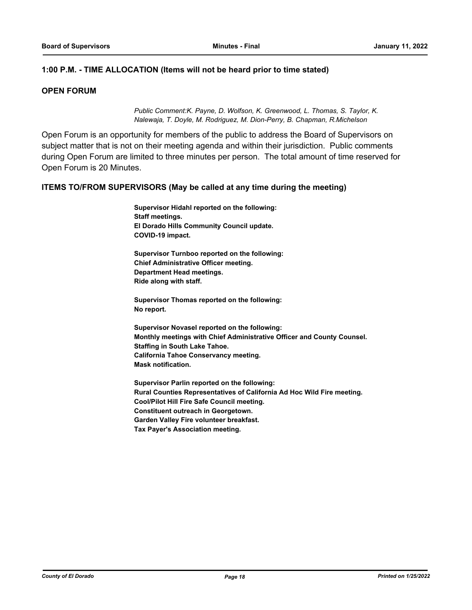### **1:00 P.M. - TIME ALLOCATION (Items will not be heard prior to time stated)**

### **OPEN FORUM**

*Public Comment:K. Payne, D. Wolfson, K. Greenwood, L. Thomas, S. Taylor, K. Nalewaja, T. Doyle, M. Rodriguez, M. Dion-Perry, B. Chapman, R.Michelson*

Open Forum is an opportunity for members of the public to address the Board of Supervisors on subject matter that is not on their meeting agenda and within their jurisdiction. Public comments during Open Forum are limited to three minutes per person. The total amount of time reserved for Open Forum is 20 Minutes.

### **ITEMS TO/FROM SUPERVISORS (May be called at any time during the meeting)**

**Supervisor Hidahl reported on the following: Staff meetings. El Dorado Hills Community Council update. COVID-19 impact.**

**Supervisor Turnboo reported on the following: Chief Administrative Officer meeting. Department Head meetings. Ride along with staff.**

**Supervisor Thomas reported on the following: No report.**

**Supervisor Novasel reported on the following: Monthly meetings with Chief Administrative Officer and County Counsel. Staffing in South Lake Tahoe. California Tahoe Conservancy meeting. Mask notification.**

**Supervisor Parlin reported on the following: Rural Counties Representatives of California Ad Hoc Wild Fire meeting. Cool/Pilot Hill Fire Safe Council meeting. Constituent outreach in Georgetown. Garden Valley Fire volunteer breakfast. Tax Payer's Association meeting.**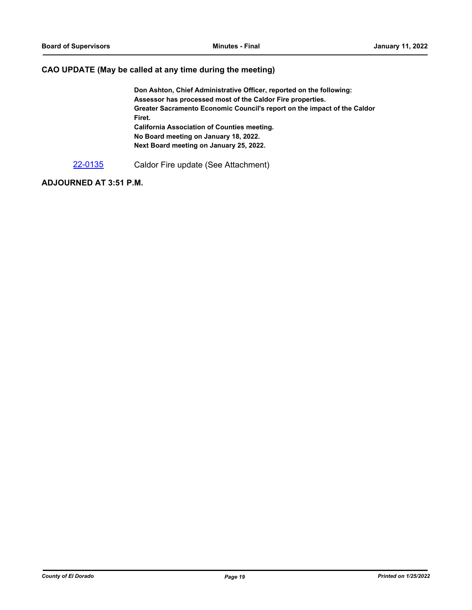### **CAO UPDATE (May be called at any time during the meeting)**

**Don Ashton, Chief Administrative Officer, reported on the following: Assessor has processed most of the Caldor Fire properties. Greater Sacramento Economic Council's report on the impact of the Caldor Firet. California Association of Counties meeting. No Board meeting on January 18, 2022. Next Board meeting on January 25, 2022.**

[22-0135](http://eldorado.legistar.com/gateway.aspx?m=l&id=/matter.aspx?key=31036) Caldor Fire update (See Attachment)

### **ADJOURNED AT 3:51 P.M.**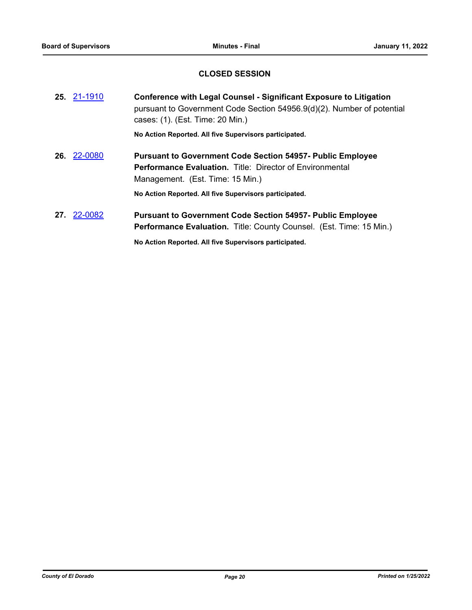### **CLOSED SESSION**

| 25. 21-1910 | <b>Conference with Legal Counsel - Significant Exposure to Litigation</b><br>pursuant to Government Code Section 54956.9(d)(2). Number of potential<br>cases: (1). (Est. Time: 20 Min.) |
|-------------|-----------------------------------------------------------------------------------------------------------------------------------------------------------------------------------------|
|             | No Action Reported. All five Supervisors participated.                                                                                                                                  |
| 26 22-0080  | <b>Pursuant to Government Code Section 54957- Public Employee</b><br><b>Performance Evaluation.</b> Title: Director of Environmental<br>Management. (Est. Time: 15 Min.)                |
|             | No Action Reported. All five Supervisors participated.                                                                                                                                  |
| 27, 22-0082 | <b>Pursuant to Government Code Section 54957- Public Employee</b><br><b>Performance Evaluation.</b> Title: County Counsel. (Est. Time: 15 Min.)                                         |
|             | No Action Reported. All five Supervisors participated.                                                                                                                                  |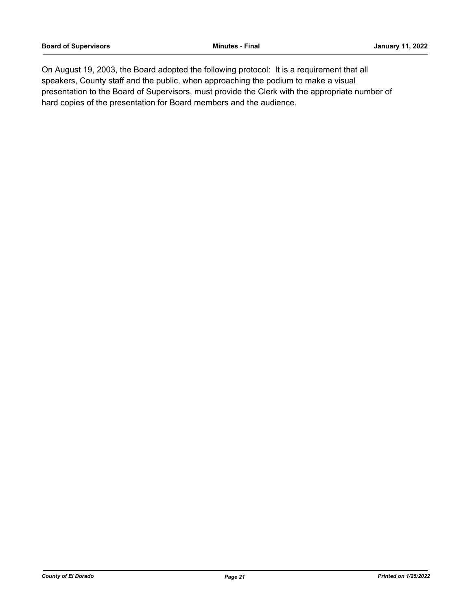On August 19, 2003, the Board adopted the following protocol: It is a requirement that all speakers, County staff and the public, when approaching the podium to make a visual presentation to the Board of Supervisors, must provide the Clerk with the appropriate number of hard copies of the presentation for Board members and the audience.